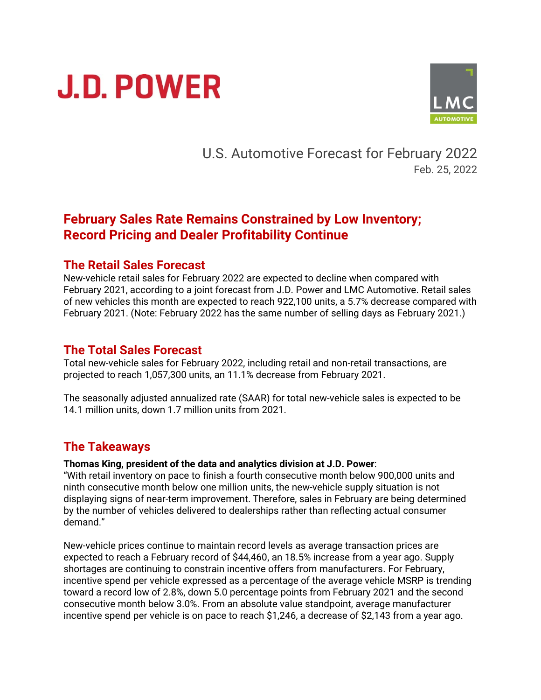# **J.D. POWER**



U.S. Automotive Forecast for February 2022 Feb. 25, 2022

# **February Sales Rate Remains Constrained by Low Inventory; Record Pricing and Dealer Profitability Continue**

#### **The Retail Sales Forecast**

New-vehicle retail sales for February 2022 are expected to decline when compared with February 2021, according to a joint forecast from J.D. Power and LMC Automotive. Retail sales of new vehicles this month are expected to reach 922,100 units, a 5.7% decrease compared with February 2021. (Note: February 2022 has the same number of selling days as February 2021.)

#### **The Total Sales Forecast**

Total new-vehicle sales for February 2022, including retail and non-retail transactions, are projected to reach 1,057,300 units, an 11.1% decrease from February 2021.

The seasonally adjusted annualized rate (SAAR) for total new-vehicle sales is expected to be 14.1 million units, down 1.7 million units from 2021.

### **The Takeaways**

#### **Thomas King, president of the data and analytics division at J.D. Power**:

"With retail inventory on pace to finish a fourth consecutive month below 900,000 units and ninth consecutive month below one million units, the new-vehicle supply situation is not displaying signs of near-term improvement. Therefore, sales in February are being determined by the number of vehicles delivered to dealerships rather than reflecting actual consumer demand."

New-vehicle prices continue to maintain record levels as average transaction prices are expected to reach a February record of \$44,460, an 18.5% increase from a year ago. Supply shortages are continuing to constrain incentive offers from manufacturers. For February, incentive spend per vehicle expressed as a percentage of the average vehicle MSRP is trending toward a record low of 2.8%, down 5.0 percentage points from February 2021 and the second consecutive month below 3.0%. From an absolute value standpoint, average manufacturer incentive spend per vehicle is on pace to reach \$1,246, a decrease of \$2,143 from a year ago.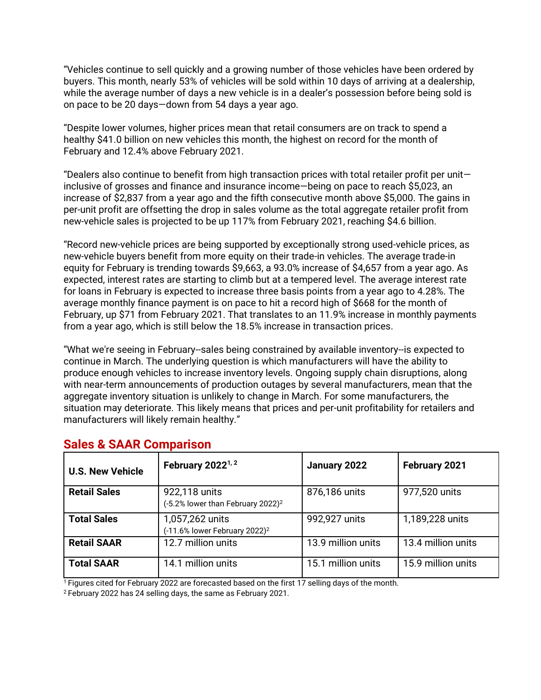"Vehicles continue to sell quickly and a growing number of those vehicles have been ordered by buyers. This month, nearly 53% of vehicles will be sold within 10 days of arriving at a dealership, while the average number of days a new vehicle is in a dealer's possession before being sold is on pace to be 20 days—down from 54 days a year ago.

"Despite lower volumes, higher prices mean that retail consumers are on track to spend a healthy \$41.0 billion on new vehicles this month, the highest on record for the month of February and 12.4% above February 2021.

"Dealers also continue to benefit from high transaction prices with total retailer profit per unit inclusive of grosses and finance and insurance income—being on pace to reach \$5,023, an increase of \$2,837 from a year ago and the fifth consecutive month above \$5,000. The gains in per-unit profit are offsetting the drop in sales volume as the total aggregate retailer profit from new-vehicle sales is projected to be up 117% from February 2021, reaching \$4.6 billion.

"Record new-vehicle prices are being supported by exceptionally strong used-vehicle prices, as new-vehicle buyers benefit from more equity on their trade-in vehicles. The average trade-in equity for February is trending towards \$9,663, a 93.0% increase of \$4,657 from a year ago. As expected, interest rates are starting to climb but at a tempered level. The average interest rate for loans in February is expected to increase three basis points from a year ago to 4.28%. The average monthly finance payment is on pace to hit a record high of \$668 for the month of February, up \$71 from February 2021. That translates to an 11.9% increase in monthly payments from a year ago, which is still below the 18.5% increase in transaction prices.

"What we're seeing in February--sales being constrained by available inventory--is expected to continue in March. The underlying question is which manufacturers will have the ability to produce enough vehicles to increase inventory levels. Ongoing supply chain disruptions, along with near-term announcements of production outages by several manufacturers, mean that the aggregate inventory situation is unlikely to change in March. For some manufacturers, the situation may deteriorate. This likely means that prices and per-unit profitability for retailers and manufacturers will likely remain healthy."

| <b>U.S. New Vehicle</b> | February 2022 <sup>1, 2</sup>                                  | January 2022       | February 2021      |
|-------------------------|----------------------------------------------------------------|--------------------|--------------------|
| <b>Retail Sales</b>     | 922,118 units<br>(-5.2% lower than February 2022) <sup>2</sup> | 876,186 units      | 977,520 units      |
| <b>Total Sales</b>      | 1,057,262 units<br>(-11.6% lower February 2022) <sup>2</sup>   | 992,927 units      | 1,189,228 units    |
| <b>Retail SAAR</b>      | 12.7 million units                                             | 13.9 million units | 13.4 million units |
| <b>Total SAAR</b>       | 14.1 million units                                             | 15.1 million units | 15.9 million units |

## **Sales & SAAR Comparison**

<sup>1</sup> Figures cited for February 2022 are forecasted based on the first 17 selling days of the month.

<sup>2</sup> February 2022 has 24 selling days, the same as February 2021.